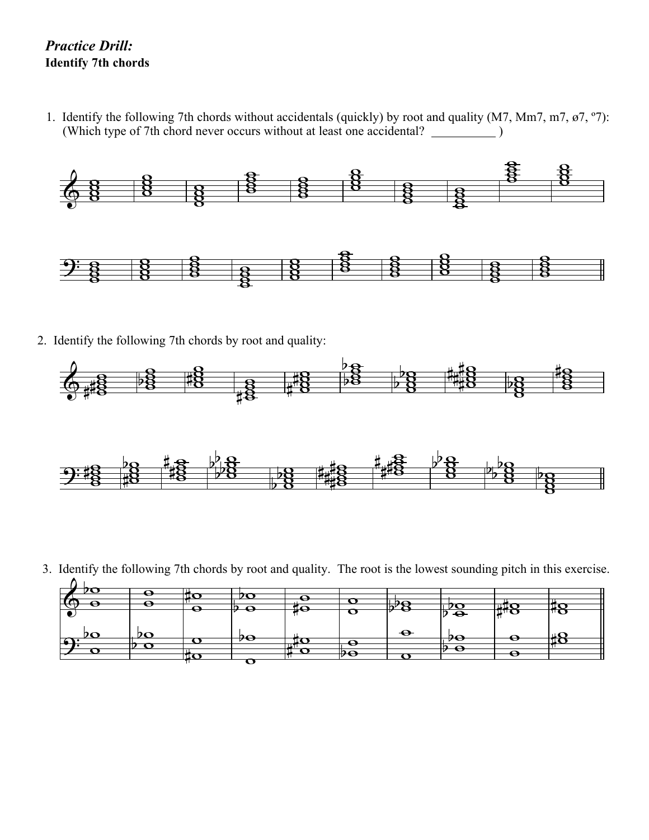## *Practice Drill:* **Identify 7th chords**

1. Identify the following 7th chords without accidentals (quickly) by root and quality (M7, Mm7, m7, ø7, º7): (Which type of 7th chord never occurs without at least one accidental? )



2. Identify the following 7th chords by root and quality:





3. Identify the following 7th chords by root and quality. The root is the lowest sounding pitch in this exercise.

| Ξ. | е | - | U |          | – |                  |   |  |
|----|---|---|---|----------|---|------------------|---|--|
|    |   |   |   |          |   | $\ddot{\bullet}$ |   |  |
|    |   |   |   |          |   |                  |   |  |
|    |   |   |   |          |   |                  |   |  |
|    |   |   |   |          | _ |                  |   |  |
|    |   | æ |   |          |   |                  |   |  |
|    |   |   |   | - 7<br>Ξ |   |                  |   |  |
|    |   |   |   |          |   |                  |   |  |
|    |   |   |   |          |   |                  | _ |  |
|    |   |   |   |          |   |                  |   |  |
|    |   |   |   |          |   |                  |   |  |
|    |   |   |   |          |   |                  |   |  |